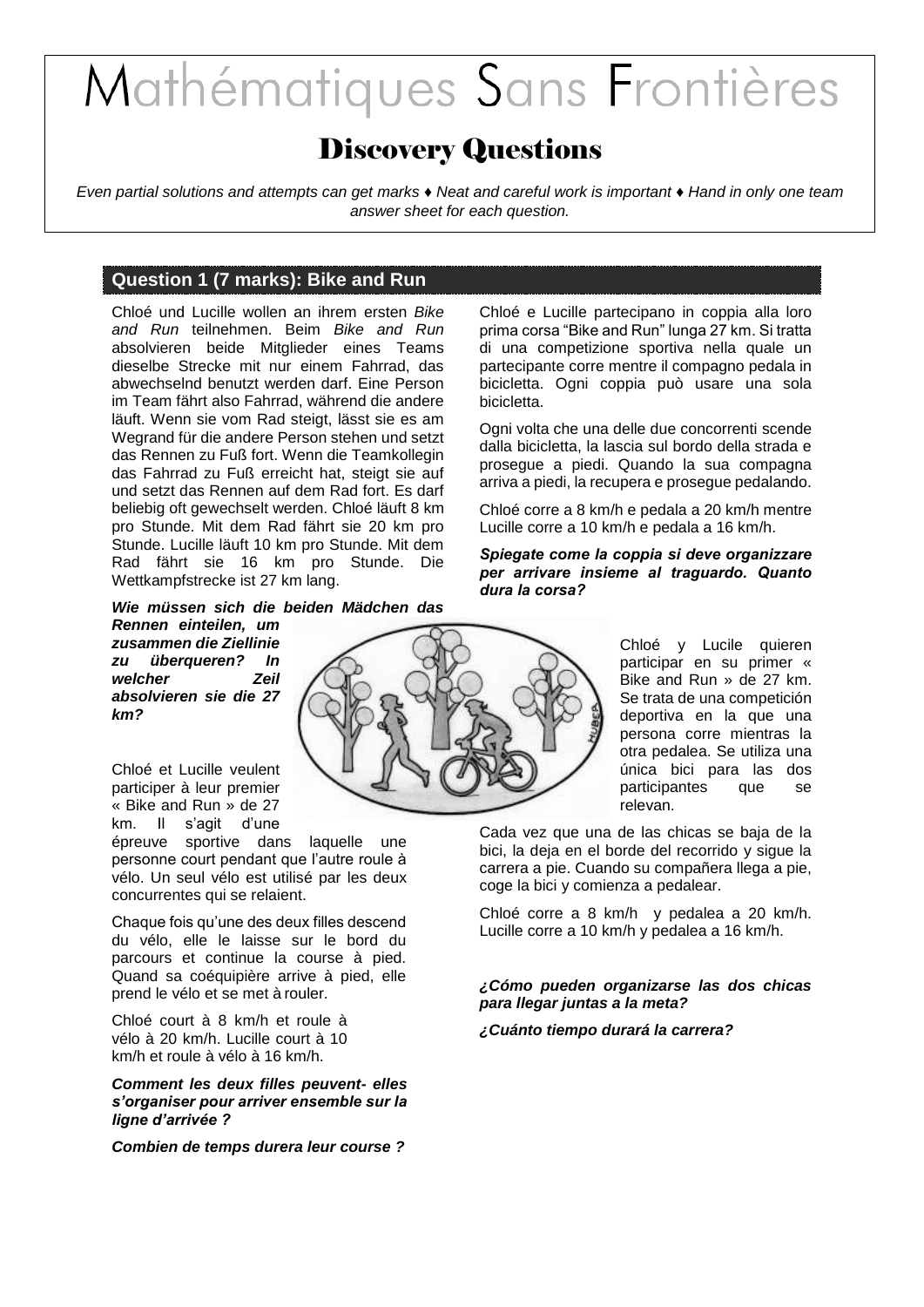# Mathématiques Sans Frontières

# Discovery Questions

*Even partial solutions and attempts can get marks ♦ Neat and careful work is important ♦ Hand in only one team answer sheet for each question.*

# **Question 1 (7 marks): Bike and Run**

Chloé und Lucille wollen an ihrem ersten *Bike and Run* teilnehmen. Beim *Bike and Run* absolvieren beide Mitglieder eines Teams dieselbe Strecke mit nur einem Fahrrad, das abwechselnd benutzt werden darf. Eine Person im Team fährt also Fahrrad, während die andere läuft. Wenn sie vom Rad steigt, lässt sie es am Wegrand für die andere Person stehen und setzt das Rennen zu Fuß fort. Wenn die Teamkollegin das Fahrrad zu Fuß erreicht hat, steigt sie auf und setzt das Rennen auf dem Rad fort. Es darf beliebig oft gewechselt werden. Chloé läuft 8 km pro Stunde. Mit dem Rad fährt sie 20 km pro Stunde. Lucille läuft 10 km pro Stunde. Mit dem Rad fährt sie 16 km pro Stunde. Die Wettkampfstrecke ist 27 km lang.

*Wie müssen sich die beiden Mädchen das* 

*Rennen einteilen, um zusammen die Ziellinie zu überqueren? In welcher Zeil absolvieren sie die 27 km?*

Chloé et Lucille veulent participer à leur premier « Bike and Run » de 27 km. Il s'agit d'une

épreuve sportive dans laquelle une personne court pendant que l'autre roule à vélo. Un seul vélo est utilisé par les deux concurrentes qui se relaient.

Chaque fois qu'une des deux filles descend du vélo, elle le laisse sur le bord du parcours et continue la course à pied. Quand sa coéquipière arrive à pied, elle prend le vélo et se met à rouler.

Chloé court à 8 km/h et roule à vélo à 20 km/h. Lucille court à 10 km/h et roule à vélo à 16 km/h.

*Comment les deux filles peuvent- elles s'organiser pour arriver ensemble sur la ligne d'arrivée ?*

*Combien de temps durera leur course ?*

Chloé e Lucille partecipano in coppia alla loro prima corsa "Bike and Run" lunga 27 km. Si tratta di una competizione sportiva nella quale un partecipante corre mentre il compagno pedala in bicicletta. Ogni coppia può usare una sola bicicletta.

Ogni volta che una delle due concorrenti scende dalla bicicletta, la lascia sul bordo della strada e prosegue a piedi. Quando la sua compagna arriva a piedi, la recupera e prosegue pedalando.

Chloé corre a 8 km/h e pedala a 20 km/h mentre Lucille corre a 10 km/h e pedala a 16 km/h.

#### *Spiegate come la coppia si deve organizzare per arrivare insieme al traguardo. Quanto dura la corsa?*

Chloé y Lucile quieren participar en su primer « Bike and Run » de 27 km. Se trata de una competición deportiva en la que una persona corre mientras la otra pedalea. Se utiliza una única bici para las dos participantes que se relevan.

Cada vez que una de las chicas se baja de la bici, la deja en el borde del recorrido y sigue la carrera a pie. Cuando su compañera llega a pie, coge la bici y comienza a pedalear.

Chloé corre a 8 km/h y pedalea a 20 km/h. Lucille corre a 10 km/h y pedalea a 16 km/h.

#### *¿Cómo pueden organizarse las dos chicas para llegar juntas a la meta?*

*¿Cuánto tiempo durará la carrera?*

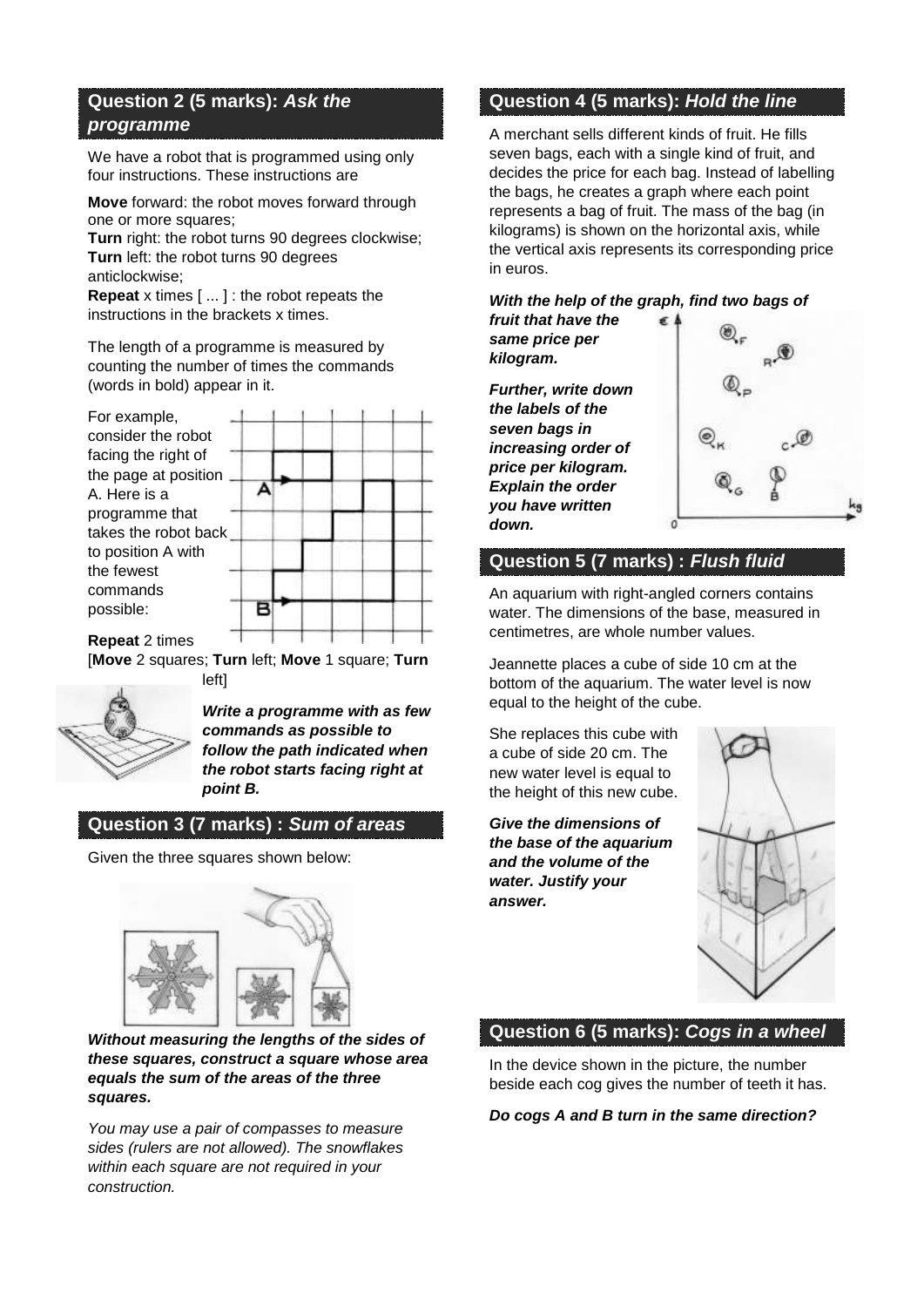# **Question 2 (5 marks):** *Ask the programme*

We have a robot that is programmed using only four instructions. These instructions are

**Move** forward: the robot moves forward through one or more squares;

**Turn** right: the robot turns 90 degrees clockwise; **Turn** left: the robot turns 90 degrees anticlockwise;

**Repeat** x times [ ... ] : the robot repeats the instructions in the brackets x times.

The length of a programme is measured by counting the number of times the commands (words in bold) appear in it.

| For example,           |  |  |  |
|------------------------|--|--|--|
| consider the robot     |  |  |  |
| facing the right of    |  |  |  |
| the page at position   |  |  |  |
| A. Here is a           |  |  |  |
| programme that         |  |  |  |
| takes the robot back   |  |  |  |
| to position A with     |  |  |  |
| the fewest             |  |  |  |
| commands               |  |  |  |
| possible:              |  |  |  |
| R <b>anast</b> 2 times |  |  |  |

T - 71 - 72 **Repeat** 2 times т The con-[**Move** 2 squares; **Turn** left; **Move** 1 square; **Turn**

left]



*Write a programme with as few commands as possible to follow the path indicated when the robot starts facing right at point B.* 

# **Question 3 (7 marks) :** *Sum of areas*

Given the three squares shown below:



*Without measuring the lengths of the sides of these squares, construct a square whose area equals the sum of the areas of the three squares.* 

*You may use a pair of compasses to measure sides (rulers are not allowed). The snowflakes within each square are not required in your construction.*

# **Question 4 (5 marks):** *Hold the line*

A merchant sells different kinds of fruit. He fills seven bags, each with a single kind of fruit, and decides the price for each bag. Instead of labelling the bags, he creates a graph where each point represents a bag of fruit. The mass of the bag (in kilograms) is shown on the horizontal axis, while the vertical axis represents its corresponding price in euros.

#### *With the help of the graph, find two bags of fruit that have the*

*same price per kilogram.*

*Further, write down the labels of the seven bags in increasing order of price per kilogram. Explain the order you have written down.*



# **Question 5 (7 marks) :** *Flush fluid*

An aquarium with right-angled corners contains water. The dimensions of the base, measured in centimetres, are whole number values.

Jeannette places a cube of side 10 cm at the bottom of the aquarium. The water level is now equal to the height of the cube.

She replaces this cube with a cube of side 20 cm. The new water level is equal to the height of this new cube.

*Give the dimensions of the base of the aquarium and the volume of the water. Justify your answer.* 



# **Question 6 (5 marks):** *Cogs in a wheel*

In the device shown in the picture, the number beside each cog gives the number of teeth it has.

#### *Do cogs A and B turn in the same direction?*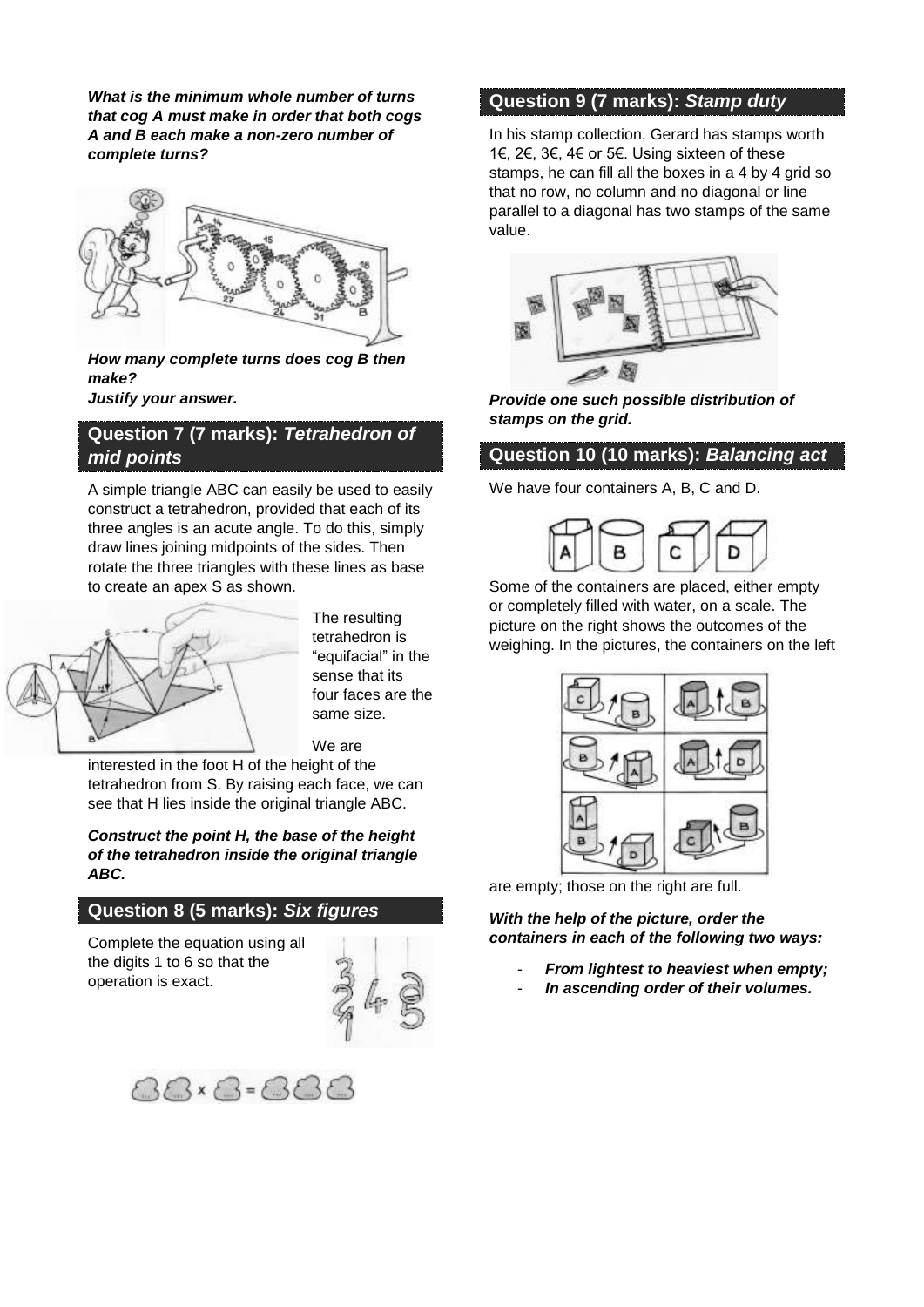*What is the minimum whole number of turns that cog A must make in order that both cogs A and B each make a non-zero number of complete turns?*



*How many complete turns does cog B then make? Justify your answer.*

# **Question 7 (7 marks):** *Tetrahedron of mid points*

A simple triangle ABC can easily be used to easily construct a tetrahedron, provided that each of its three angles is an acute angle. To do this, simply draw lines joining midpoints of the sides. Then rotate the three triangles with these lines as base to create an apex S as shown.



The resulting tetrahedron is "equifacial" in the sense that its four faces are the same size.

We are

interested in the foot H of the height of the tetrahedron from S. By raising each face, we can see that H lies inside the original triangle ABC.

#### *Construct the point H, the base of the height of the tetrahedron inside the original triangle ABC.*

# **Question 8 (5 marks):** *Six figures*

Complete the equation using all the digits 1 to 6 so that the operation is exact.





### **Question 9 (7 marks):** *Stamp duty*

In his stamp collection, Gerard has stamps worth 1€, 2€, 3€, 4€ or 5€. Using sixteen of these stamps, he can fill all the boxes in a 4 by 4 grid so that no row, no column and no diagonal or line parallel to a diagonal has two stamps of the same value.



*Provide one such possible distribution of stamps on the grid.*

# **Question 10 (10 marks):** *Balancing act*

We have four containers A, B, C and D.



Some of the containers are placed, either empty or completely filled with water, on a scale. The picture on the right shows the outcomes of the weighing. In the pictures, the containers on the left



are empty; those on the right are full.

*With the help of the picture, order the containers in each of the following two ways:*

- *From lightest to heaviest when empty;*
- *In ascending order of their volumes.*